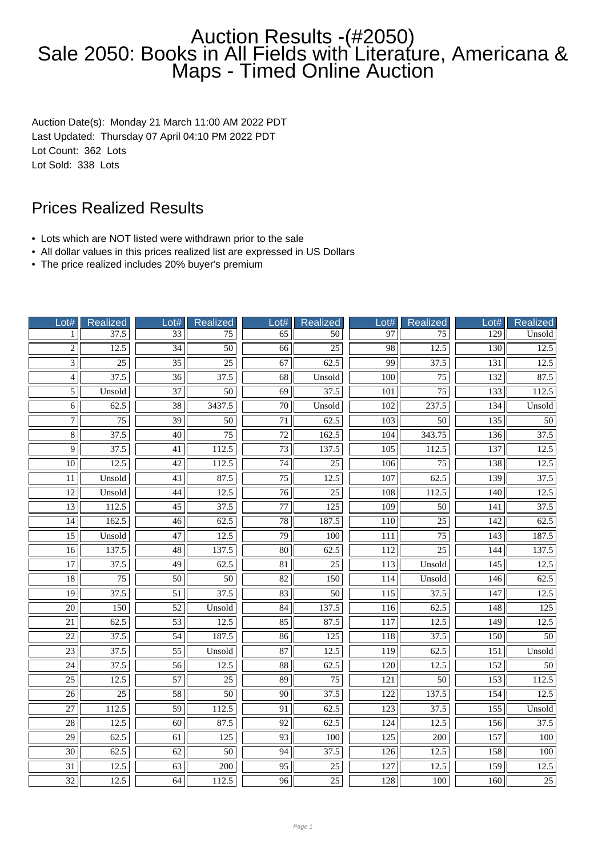# Auction Results -(#2050) Sale 2050: Books in All Fields with Literature, Americana & Maps - Timed Online Auction

Auction Date(s): Monday 21 March 11:00 AM 2022 PDT Last Updated: Thursday 07 April 04:10 PM 2022 PDT Lot Count: 362 Lots Lot Sold: 338 Lots

# Prices Realized Results

- Lots which are NOT listed were withdrawn prior to the sale
- All dollar values in this prices realized list are expressed in US Dollars
- The price realized includes 20% buyer's premium

| Lot#            | Realized        | Lot#            | <b>Realized</b>  | Lot#            | <b>Realized</b> | 0 <sup>1#</sup>  | Realized         | ot#              | <b>Realized</b> |
|-----------------|-----------------|-----------------|------------------|-----------------|-----------------|------------------|------------------|------------------|-----------------|
| 1               | 37.5            | 33              | $\overline{75}$  | $\overline{65}$ | 50              | 97               | 75               | $\overline{129}$ | Unsold          |
| $\overline{2}$  | 12.5            | $\overline{34}$ | $\overline{50}$  | 66              | $\overline{25}$ | $\overline{98}$  | 12.5             | 130              | 12.5            |
| $\overline{3}$  | $\overline{25}$ | $\overline{35}$ | $\overline{25}$  | 67              | 62.5            | 99               | 37.5             | 131              | 12.5            |
| $\overline{4}$  | 37.5            | $\overline{36}$ | 37.5             | 68              | Unsold          | 100              | 75               | 132              | 87.5            |
| $\overline{5}$  | Unsold          | 37              | 50               | 69              | 37.5            | 101              | 75               | 133              | 112.5           |
| $\overline{6}$  | 62.5            | $\overline{38}$ | 3437.5           | $\overline{70}$ | Unsold          | 102              | 237.5            | 134              | Unsold          |
| $\overline{7}$  | $\overline{75}$ | $\overline{39}$ | $\overline{50}$  | $\overline{71}$ | 62.5            | $\overline{103}$ | $\overline{50}$  | $\overline{135}$ | $\overline{50}$ |
| $\overline{8}$  | 37.5            | $\overline{40}$ | $\overline{75}$  | $\overline{72}$ | 162.5           | 104              | 343.75           | 136              | 37.5            |
| $\overline{9}$  | 37.5            | 41              | 112.5            | 73              | 137.5           | 105              | 112.5            | 137              | 12.5            |
| 10 <sup>1</sup> | 12.5            | 42              | 112.5            | 74              | 25              | 106              | 75               | 138              | 12.5            |
| 11              | Unsold          | $\overline{43}$ | 87.5             | $\overline{75}$ | 12.5            | 107              | 62.5             | 139              | 37.5            |
| $\overline{12}$ | Unsold          | 44              | 12.5             | $\overline{76}$ | 25              | 108              | 112.5            | 140              | 12.5            |
| $\overline{13}$ | 112.5           | $\overline{45}$ | 37.5             | $\overline{77}$ | 125             | 109              | 50               | 141              | 37.5            |
| $\overline{14}$ | 162.5           | 46              | 62.5             | 78              | 187.5           | 110              | $\overline{25}$  | 142              | 62.5            |
| $\overline{15}$ | Unsold          | $\overline{47}$ | 12.5             | 79              | 100             | 111              | $\overline{75}$  | 143              | 187.5           |
| $\overline{16}$ | 137.5           | $\overline{48}$ | 137.5            | 80              | 62.5            | 112              | 25               | 144              | 137.5           |
| $\overline{17}$ | 37.5            | 49              | 62.5             | $\overline{81}$ | 25              | 113              | Unsold           | 145              | 12.5            |
| $\overline{18}$ | $\overline{75}$ | $\overline{50}$ | $\overline{50}$  | $\overline{82}$ | 150             | 114              | Unsold           | 146              | 62.5            |
| $\overline{19}$ | 37.5            | $\overline{51}$ | 37.5             | 83              | $\overline{50}$ | 115              | 37.5             | 147              | 12.5            |
| $\overline{20}$ | 150             | 52              | Unsold           | 84              | 137.5           | 116              | 62.5             | 148              | 125             |
| $\overline{21}$ | 62.5            | $\overline{53}$ | 12.5             | 85              | 87.5            | 117              | 12.5             | 149              | 12.5            |
| $\overline{22}$ | 37.5            | $\overline{54}$ | 187.5            | $\overline{86}$ | 125             | $\overline{118}$ | 37.5             | 150              | $\overline{50}$ |
| $\overline{23}$ | 37.5            | $\overline{55}$ | Unsold           | $\overline{87}$ | 12.5            | $\overline{119}$ | 62.5             | $\overline{151}$ | Unsold          |
| $\overline{24}$ | 37.5            | $\overline{56}$ | 12.5             | $\overline{88}$ | 62.5            | $\overline{120}$ | 12.5             | 152              | $\overline{50}$ |
| $\overline{25}$ | 12.5            | 57              | $\overline{25}$  | 89              | 75              | 121              | 50               | 153              | 112.5           |
| $\overline{26}$ | $\overline{25}$ | $\overline{58}$ | $\overline{50}$  | $\overline{90}$ | 37.5            | 122              | 137.5            | 154              | 12.5            |
| 27              | 112.5           | 59              | 112.5            | 91              | 62.5            | 123              | 37.5             | 155              | Unsold          |
| 28              | 12.5            | 60              | 87.5             | 92              | 62.5            | 124              | 12.5             | 156              | 37.5            |
| $\overline{29}$ | 62.5            | $\overline{61}$ | $\overline{125}$ | $\overline{93}$ | 100             | $\overline{125}$ | $\overline{200}$ | 157              | 100             |
| $\overline{30}$ | 62.5            | 62              | $\overline{50}$  | 94              | 37.5            | 126              | 12.5             | 158              | 100             |
| 31              | 12.5            | $\overline{63}$ | 200              | $\overline{95}$ | 25              | 127              | 12.5             | 159              | 12.5            |
| 32              | 12.5            | 64              | 112.5            | 96              | 25              | 128              | 100              | 160              | $\overline{25}$ |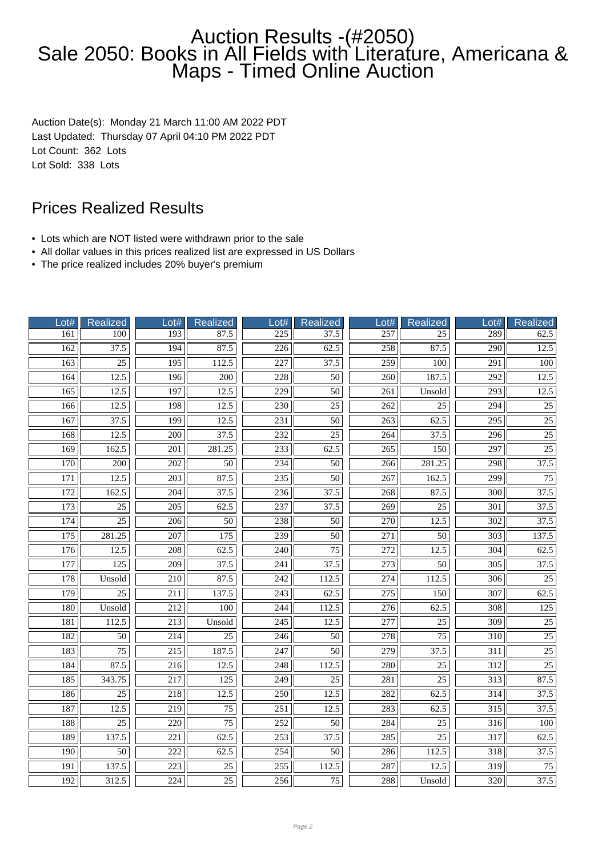# Auction Results -(#2050) Sale 2050: Books in All Fields with Literature, Americana & Maps - Timed Online Auction

Auction Date(s): Monday 21 March 11:00 AM 2022 PDT Last Updated: Thursday 07 April 04:10 PM 2022 PDT Lot Count: 362 Lots Lot Sold: 338 Lots

# Prices Realized Results

- Lots which are NOT listed were withdrawn prior to the sale
- All dollar values in this prices realized list are expressed in US Dollars
- The price realized includes 20% buyer's premium

| Lot# | Realized          | Lot#             | <b>Realized</b>   | Lot#             | <b>Realized</b>   | Lot#             | Realized          | $-$ ot#          | <b>Realized</b>   |
|------|-------------------|------------------|-------------------|------------------|-------------------|------------------|-------------------|------------------|-------------------|
| 161  | 100               | 193              | 87.5              | $\overline{225}$ | 37.5              | 257              | $\overline{25}$   | 289              | 62.5              |
| 162  | 37.5              | 194              | 87.5              | $\overline{226}$ | 62.5              | 258              | 87.5              | $\overline{290}$ | 12.5              |
| 163  | $\overline{25}$   | 195              | 112.5             | 227              | 37.5              | 259              | 100               | 291              | 100               |
| 164  | 12.5              | 196              | 200               | 228              | 50                | 260              | 187.5             | 292              | 12.5              |
| 165  | 12.5              | 197              | 12.5              | 229              | 50                | 261              | Unsold            | 293              | 12.5              |
| 166  | 12.5              | 198              | 12.5              | 230              | $\overline{25}$   | $\overline{262}$ | $\overline{25}$   | 294              | $\overline{25}$   |
| 167  | $\overline{37.5}$ | 199              | 12.5              | $\overline{231}$ | $\overline{50}$   | $\overline{263}$ | 62.5              | $\overline{295}$ | $\overline{25}$   |
| 168  | 12.5              | 200              | 37.5              | 232              | 25                | 264              | 37.5              | 296              | $\overline{25}$   |
| 169  | 162.5             | 201              | 281.25            | 233              | 62.5              | 265              | 150               | 297              | $\overline{25}$   |
| 170  | 200               | 202              | 50                | 234              | 50                | 266              | 281.25            | 298              | 37.5              |
| 171  | 12.5              | $\overline{203}$ | 87.5              | 235              | $\overline{50}$   | 267              | 162.5             | 299              | $\overline{75}$   |
| 172  | 162.5             | $\overline{204}$ | $\overline{37.5}$ | 236              | 37.5              | 268              | 87.5              | $\overline{300}$ | $\overline{37.5}$ |
| 173  | 25                | 205              | 62.5              | 237              | 37.5              | 269              | 25                | 301              | 37.5              |
| 174  | $\overline{25}$   | 206              | $\overline{50}$   | 238              | $\overline{50}$   | 270              | 12.5              | $\overline{302}$ | 37.5              |
| 175  | 281.25            | 207              | 175               | 239              | $\overline{50}$   | 271              | $\overline{50}$   | 303              | 137.5             |
| 176  | 12.5              | 208              | 62.5              | 240              | $\overline{75}$   | $\overline{272}$ | 12.5              | 304              | 62.5              |
| 177  | 125               | $\overline{209}$ | 37.5              | 241              | 37.5              | $\overline{273}$ | $\overline{50}$   | $\overline{305}$ | 37.5              |
| 178  | Unsold            | $\overline{210}$ | 87.5              | 242              | 112.5             | $\overline{274}$ | 112.5             | 306              | $\overline{25}$   |
| 179  | $\overline{25}$   | $\overline{211}$ | 137.5             | $\overline{243}$ | $\overline{62.5}$ | $\overline{275}$ | 150               | $\overline{307}$ | 62.5              |
| 180  | Unsold            | 212              | 100               | 244              | 112.5             | 276              | 62.5              | 308              | 125               |
| 181  | 112.5             | 213              | Unsold            | $\overline{245}$ | 12.5              | $\overline{277}$ | $\overline{25}$   | 309              | $\overline{25}$   |
| 182  | $\overline{50}$   | $\overline{214}$ | $\overline{25}$   | $\overline{246}$ | $\overline{50}$   | $\overline{278}$ | $\overline{75}$   | 310              | $\overline{25}$   |
| 183  | $\overline{75}$   | $\overline{215}$ | 187.5             | $\overline{247}$ | $\overline{50}$   | 279              | $\overline{37.5}$ | $\overline{311}$ | $\overline{25}$   |
| 184  | 87.5              | $\overline{216}$ | 12.5              | 248              | 112.5             | 280              | $\overline{25}$   | $\overline{312}$ | $\overline{25}$   |
| 185  | 343.75            | 217              | 125               | 249              | 25                | 281              | $\overline{25}$   | 313              | 87.5              |
| 186  | $\overline{25}$   | 218              | 12.5              | 250              | 12.5              | 282              | 62.5              | 314              | 37.5              |
| 187  | 12.5              | 219              | 75                | 251              | 12.5              | 283              | 62.5              | 315              | $\overline{37.5}$ |
| 188  | 25                | 220              | 75                | 252              | 50                | 284              | 25                | 316              | 100               |
| 189  | 137.5             | $\overline{221}$ | 62.5              | 253              | 37.5              | $\overline{285}$ | $\overline{25}$   | $\overline{317}$ | 62.5              |
| 190  | $\overline{50}$   | 222              | 62.5              | 254              | $\overline{50}$   | 286              | 112.5             | 318              | 37.5              |
| 191  | 137.5             | 223              | 25                | 255              | 112.5             | 287              | 12.5              | 319              | 75                |
| 192  | 312.5             | 224              | $\overline{25}$   | 256              | 75                | 288              | Unsold            | 320              | 37.5              |